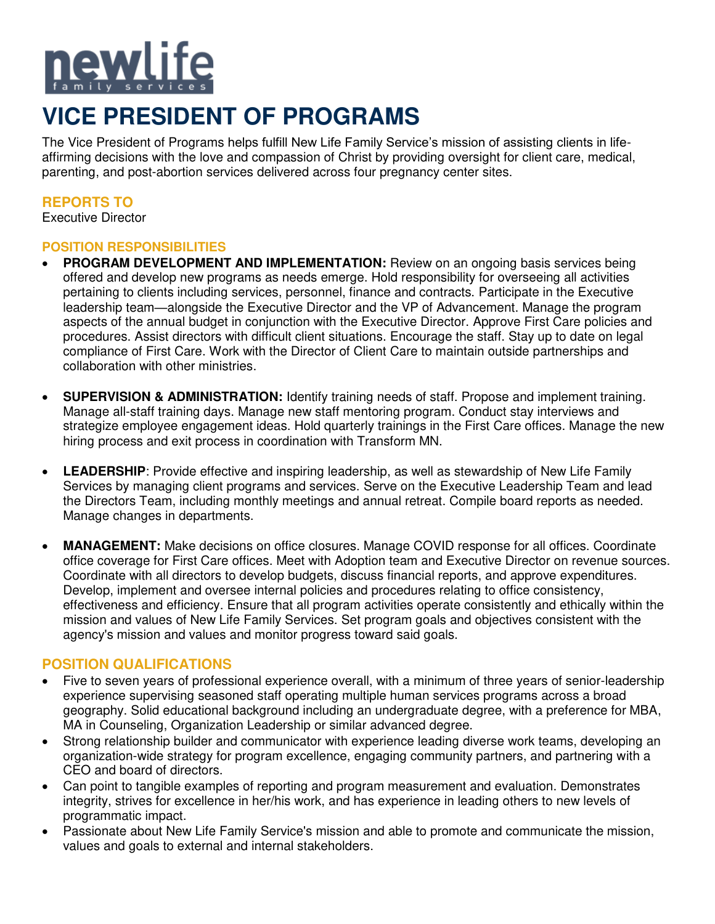

# **VICE PRESIDENT OF PROGRAMS**

The Vice President of Programs helps fulfill New Life Family Service's mission of assisting clients in lifeaffirming decisions with the love and compassion of Christ by providing oversight for client care, medical, parenting, and post-abortion services delivered across four pregnancy center sites.

# **REPORTS TO**

Executive Director

## **POSITION RESPONSIBILITIES**

- **PROGRAM DEVELOPMENT AND IMPLEMENTATION:** Review on an ongoing basis services being offered and develop new programs as needs emerge. Hold responsibility for overseeing all activities pertaining to clients including services, personnel, finance and contracts. Participate in the Executive leadership team—alongside the Executive Director and the VP of Advancement. Manage the program aspects of the annual budget in conjunction with the Executive Director. Approve First Care policies and procedures. Assist directors with difficult client situations. Encourage the staff. Stay up to date on legal compliance of First Care. Work with the Director of Client Care to maintain outside partnerships and collaboration with other ministries.
- • **SUPERVISION & ADMINISTRATION:** Identify training needs of staff. Propose and implement training. Manage all-staff training days. Manage new staff mentoring program. Conduct stay interviews and strategize employee engagement ideas. Hold quarterly trainings in the First Care offices. Manage the new hiring process and exit process in coordination with Transform MN.
- LEADERSHIP: Provide effective and inspiring leadership, as well as stewardship of New Life Family Services by managing client programs and services. Serve on the Executive Leadership Team and lead the Directors Team, including monthly meetings and annual retreat. Compile board reports as needed. Manage changes in departments.
- **MANAGEMENT:** Make decisions on office closures. Manage COVID response for all offices. Coordinate office coverage for First Care offices. Meet with Adoption team and Executive Director on revenue sources. Coordinate with all directors to develop budgets, discuss financial reports, and approve expenditures. Develop, implement and oversee internal policies and procedures relating to office consistency, effectiveness and efficiency. Ensure that all program activities operate consistently and ethically within the mission and values of New Life Family Services. Set program goals and objectives consistent with the agency's mission and values and monitor progress toward said goals.

# **POSITION QUALIFICATIONS**

- Five to seven vears of professional experience overall, with a minimum of three years of senior-leadership experience supervising seasoned staff operating multiple human services programs across a broad geography. Solid educational background including an undergraduate degree, with a preference for MBA, MA in Counseling, Organization Leadership or similar advanced degree.
- Strong relationship builder and communicator with experience leading diverse work teams, developing an organization-wide strategy for program excellence, engaging community partners, and partnering with a CEO and board of directors.
- Can point to tangible examples of reporting and program measurement and evaluation. Demonstrates integrity, strives for excellence in her/his work, and has experience in leading others to new levels of programmatic impact.
- Passionate about New Life Family Service's mission and able to promote and communicate the mission, values and goals to external and internal stakeholders.